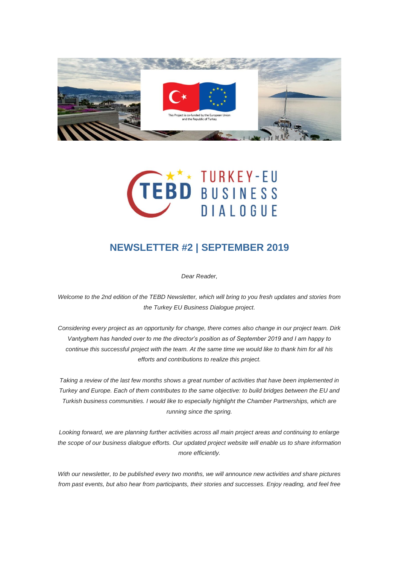



## **NEWSLETTER #2 | SEPTEMBER 2019**

*Dear Reader,*

*Welcome to the 2nd edition of the TEBD Newsletter, which will bring to you fresh updates and stories from the Turkey EU Business Dialogue project.*

*Considering every project as an opportunity for change, there comes also change in our project team. Dirk Vantyghem has handed over to me the director's position as of September 2019 and I am happy to continue this successful project with the team. At the same time we would like to thank him for all his efforts and contributions to realize this project.*

*Taking a review of the last few months shows a great number of activities that have been implemented in Turkey and Europe. Each of them contributes to the same objective: to build bridges between the EU and Turkish business communities. I would like to especially highlight the Chamber Partnerships, which are running since the spring.*

*Looking forward, we are planning further activities across all main project areas and continuing to enlarge the scope of our business dialogue efforts. Our updated project website will enable us to share information more efficiently.*

*With our newsletter, to be published every two months, we will announce new activities and share pictures from past events, but also hear from participants, their stories and successes. Enjoy reading, and feel free*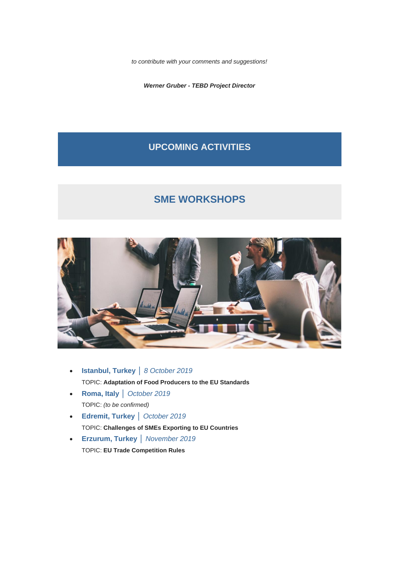*to contribute with your comments and suggestions!*

*Werner Gruber - TEBD Project Director*

## **UPCOMING ACTIVITIES**

## **SME WORKSHOPS**



- **Istanbul, Turkey** │ *8 October 2019* TOPIC: **Adaptation of Food Producers to the EU Standards**
- **Roma, Italy** │ *October 2019* TOPIC: *(to be confirmed)*
- **Edremit, Turkey** │ *October 2019* TOPIC: **Challenges of SMEs Exporting to EU Countries**
- **Erzurum, Turkey** │ *November 2019* TOPIC: **EU Trade Competition Rules**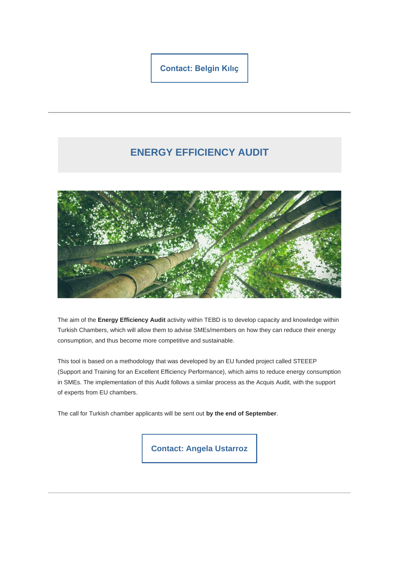**[Contact: Belgin Kılıç](mailto:kilic@eurochambre.eu?subject=SME%20Workshops)**

# **ENERGY EFFICIENCY AUDIT**



The aim of the **Energy Efficiency Audit** activity within TEBD is to develop capacity and knowledge within Turkish Chambers, which will allow them to advise SMEs/members on how they can reduce their energy consumption, and thus become more competitive and sustainable.

This tool is based on a methodology that was developed by an EU funded project called STEEEP (Support and Training for an Excellent Efficiency Performance), which aims to reduce energy consumption in SMEs. The implementation of this Audit follows a similar process as the Acquis Audit, with the support of experts from EU chambers.

The call for Turkish chamber applicants will be sent out **by the end of September**.

**[Contact: Angela Ustarroz](mailto:ustarroz@eurochambres.eu?subject=EE%20AUDIT)**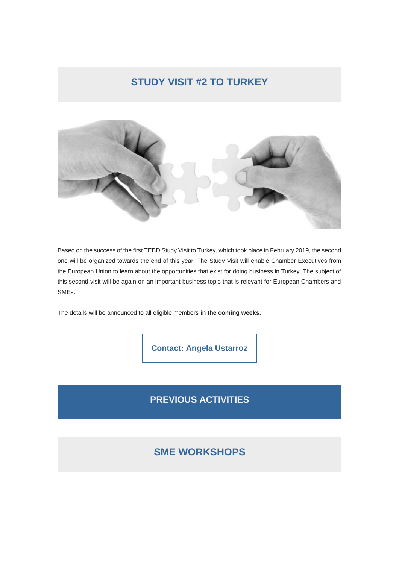### **STUDY VISIT #2 TO TURKEY**



Based on the success of the first TEBD Study Visit to Turkey, which took place in February 2019, the second one will be organized towards the end of this year. The Study Visit will enable Chamber Executives from the European Union to learn about the opportunities that exist for doing business in Turkey. The subject of this second visit will be again on an important business topic that is relevant for European Chambers and SMEs.

The details will be announced to all eligible members **in the coming weeks.**

**[Contact: Angela Ustarroz](mailto:ustarroz@eurochambres.eu?subject=Study%20Visit%20%232%20to%20Turkey)**

### **PREVIOUS ACTIVITIES**

## **SME WORKSHOPS**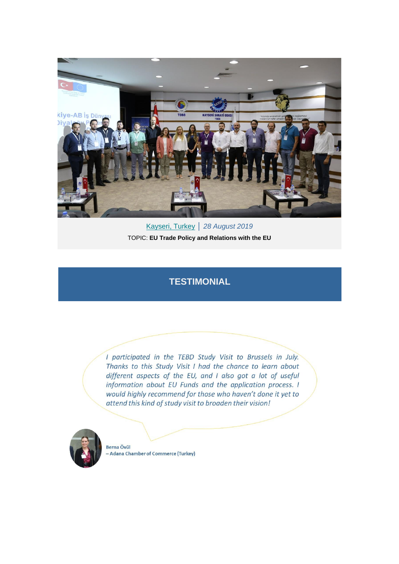

[Kayseri](https://eurochambres.us20.list-manage.com/track/click?u=fc97fe7a1cb80e237945d582e&id=503dbe358f&e=20dfd56250)[, Turkey](https://eurochambres.us20.list-manage.com/track/click?u=fc97fe7a1cb80e237945d582e&id=7a4e29fe7c&e=20dfd56250) │ *28 August 2019* TOPIC: **EU Trade Policy and Relations with the EU**

#### **TESTIMONIAL**

I participated in the TEBD Study Visit to Brussels in July. Thanks to this Study Visit I had the chance to learn about different aspects of the EU, and I also got a lot of useful information about EU Funds and the application process. I would highly recommend for those who haven't done it yet to attend this kind of study visit to broaden their vision!



Berna Övül **Adana Chamber of Commerce (Turkey)**